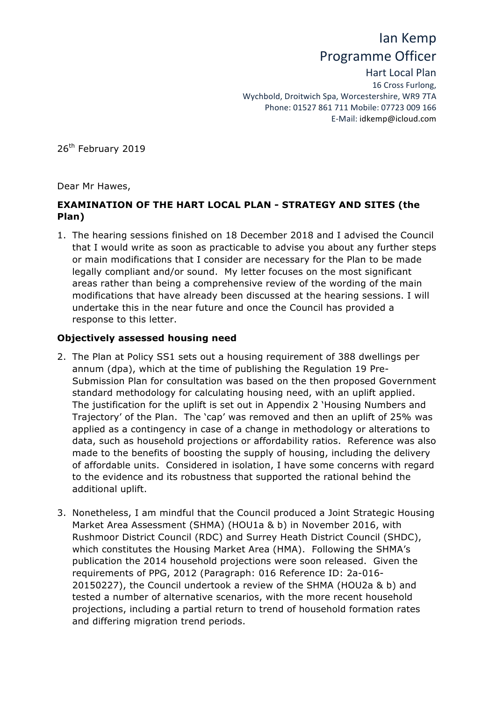# Ian Kemp Programme Officer

Hart Local Plan 16 Cross Furlong, Wychbold, Droitwich Spa, Worcestershire, WR9 7TA Phone: 01527 861 711 Mobile: 07723 009 166 E-Mail: idkemp@icloud.com

26<sup>th</sup> February 2019

Dear Mr Hawes,

# **EXAMINATION OF THE HART LOCAL PLAN - STRATEGY AND SITES (the Plan)**

1. The hearing sessions finished on 18 December 2018 and I advised the Council that I would write as soon as practicable to advise you about any further steps or main modifications that I consider are necessary for the Plan to be made legally compliant and/or sound. My letter focuses on the most significant areas rather than being a comprehensive review of the wording of the main modifications that have already been discussed at the hearing sessions. I will undertake this in the near future and once the Council has provided a response to this letter.

## **Objectively assessed housing need**

- 2. The Plan at Policy SS1 sets out a housing requirement of 388 dwellings per annum (dpa), which at the time of publishing the Regulation 19 Pre-Submission Plan for consultation was based on the then proposed Government standard methodology for calculating housing need, with an uplift applied. The justification for the uplift is set out in Appendix 2 'Housing Numbers and Trajectory' of the Plan. The 'cap' was removed and then an uplift of 25% was applied as a contingency in case of a change in methodology or alterations to data, such as household projections or affordability ratios. Reference was also made to the benefits of boosting the supply of housing, including the delivery of affordable units. Considered in isolation, I have some concerns with regard to the evidence and its robustness that supported the rational behind the additional uplift.
- 3. Nonetheless, I am mindful that the Council produced a Joint Strategic Housing Market Area Assessment (SHMA) (HOU1a & b) in November 2016, with Rushmoor District Council (RDC) and Surrey Heath District Council (SHDC), which constitutes the Housing Market Area (HMA). Following the SHMA's publication the 2014 household projections were soon released. Given the requirements of PPG, 2012 (Paragraph: 016 Reference ID: 2a-016- 20150227), the Council undertook a review of the SHMA (HOU2a & b) and tested a number of alternative scenarios, with the more recent household projections, including a partial return to trend of household formation rates and differing migration trend periods.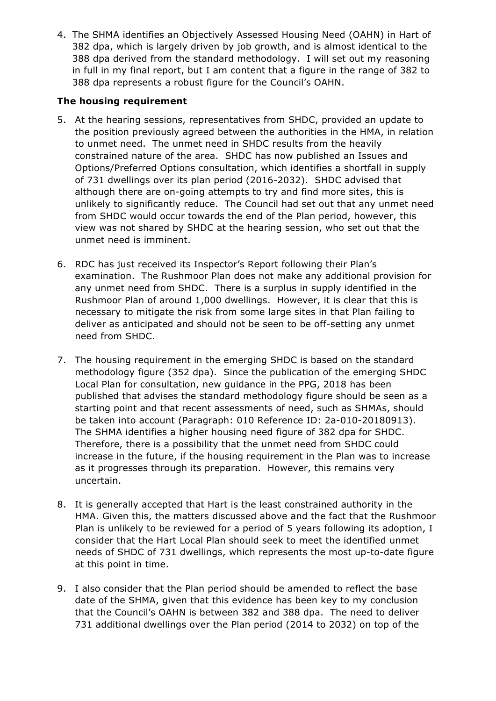4. The SHMA identifies an Objectively Assessed Housing Need (OAHN) in Hart of 382 dpa, which is largely driven by job growth, and is almost identical to the 388 dpa derived from the standard methodology. I will set out my reasoning in full in my final report, but I am content that a figure in the range of 382 to 388 dpa represents a robust figure for the Council's OAHN.

## **The housing requirement**

- 5. At the hearing sessions, representatives from SHDC, provided an update to the position previously agreed between the authorities in the HMA, in relation to unmet need. The unmet need in SHDC results from the heavily constrained nature of the area. SHDC has now published an Issues and Options/Preferred Options consultation, which identifies a shortfall in supply of 731 dwellings over its plan period (2016-2032). SHDC advised that although there are on-going attempts to try and find more sites, this is unlikely to significantly reduce. The Council had set out that any unmet need from SHDC would occur towards the end of the Plan period, however, this view was not shared by SHDC at the hearing session, who set out that the unmet need is imminent.
- 6. RDC has just received its Inspector's Report following their Plan's examination. The Rushmoor Plan does not make any additional provision for any unmet need from SHDC. There is a surplus in supply identified in the Rushmoor Plan of around 1,000 dwellings. However, it is clear that this is necessary to mitigate the risk from some large sites in that Plan failing to deliver as anticipated and should not be seen to be off-setting any unmet need from SHDC.
- 7. The housing requirement in the emerging SHDC is based on the standard methodology figure (352 dpa). Since the publication of the emerging SHDC Local Plan for consultation, new guidance in the PPG, 2018 has been published that advises the standard methodology figure should be seen as a starting point and that recent assessments of need, such as SHMAs, should be taken into account (Paragraph: 010 Reference ID: 2a-010-20180913). The SHMA identifies a higher housing need figure of 382 dpa for SHDC. Therefore, there is a possibility that the unmet need from SHDC could increase in the future, if the housing requirement in the Plan was to increase as it progresses through its preparation. However, this remains very uncertain.
- 8. It is generally accepted that Hart is the least constrained authority in the HMA. Given this, the matters discussed above and the fact that the Rushmoor Plan is unlikely to be reviewed for a period of 5 years following its adoption, I consider that the Hart Local Plan should seek to meet the identified unmet needs of SHDC of 731 dwellings, which represents the most up-to-date figure at this point in time.
- 9. I also consider that the Plan period should be amended to reflect the base date of the SHMA, given that this evidence has been key to my conclusion that the Council's OAHN is between 382 and 388 dpa. The need to deliver 731 additional dwellings over the Plan period (2014 to 2032) on top of the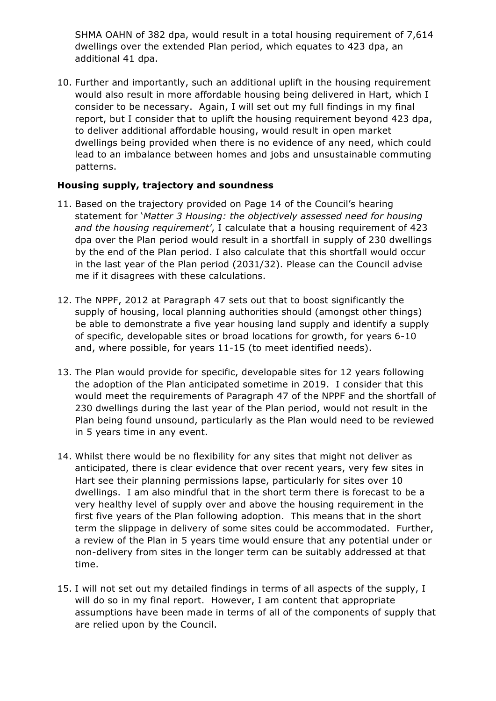SHMA OAHN of 382 dpa, would result in a total housing requirement of 7,614 dwellings over the extended Plan period, which equates to 423 dpa, an additional 41 dpa.

10. Further and importantly, such an additional uplift in the housing requirement would also result in more affordable housing being delivered in Hart, which I consider to be necessary. Again, I will set out my full findings in my final report, but I consider that to uplift the housing requirement beyond 423 dpa, to deliver additional affordable housing, would result in open market dwellings being provided when there is no evidence of any need, which could lead to an imbalance between homes and jobs and unsustainable commuting patterns.

## **Housing supply, trajectory and soundness**

- 11. Based on the trajectory provided on Page 14 of the Council's hearing statement for '*Matter 3 Housing: the objectively assessed need for housing and the housing requirement'*, I calculate that a housing requirement of 423 dpa over the Plan period would result in a shortfall in supply of 230 dwellings by the end of the Plan period. I also calculate that this shortfall would occur in the last year of the Plan period (2031/32). Please can the Council advise me if it disagrees with these calculations.
- 12. The NPPF, 2012 at Paragraph 47 sets out that to boost significantly the supply of housing, local planning authorities should (amongst other things) be able to demonstrate a five year housing land supply and identify a supply of specific, developable sites or broad locations for growth, for years 6-10 and, where possible, for years 11-15 (to meet identified needs).
- 13. The Plan would provide for specific, developable sites for 12 years following the adoption of the Plan anticipated sometime in 2019. I consider that this would meet the requirements of Paragraph 47 of the NPPF and the shortfall of 230 dwellings during the last year of the Plan period, would not result in the Plan being found unsound, particularly as the Plan would need to be reviewed in 5 years time in any event.
- 14. Whilst there would be no flexibility for any sites that might not deliver as anticipated, there is clear evidence that over recent years, very few sites in Hart see their planning permissions lapse, particularly for sites over 10 dwellings. I am also mindful that in the short term there is forecast to be a very healthy level of supply over and above the housing requirement in the first five years of the Plan following adoption. This means that in the short term the slippage in delivery of some sites could be accommodated. Further, a review of the Plan in 5 years time would ensure that any potential under or non-delivery from sites in the longer term can be suitably addressed at that time.
- 15. I will not set out my detailed findings in terms of all aspects of the supply, I will do so in my final report. However, I am content that appropriate assumptions have been made in terms of all of the components of supply that are relied upon by the Council.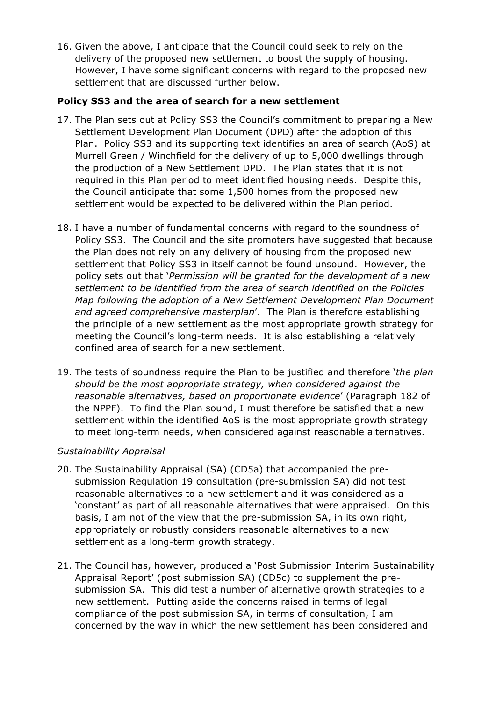16. Given the above, I anticipate that the Council could seek to rely on the delivery of the proposed new settlement to boost the supply of housing. However, I have some significant concerns with regard to the proposed new settlement that are discussed further below.

### **Policy SS3 and the area of search for a new settlement**

- 17. The Plan sets out at Policy SS3 the Council's commitment to preparing a New Settlement Development Plan Document (DPD) after the adoption of this Plan. Policy SS3 and its supporting text identifies an area of search (AoS) at Murrell Green / Winchfield for the delivery of up to 5,000 dwellings through the production of a New Settlement DPD. The Plan states that it is not required in this Plan period to meet identified housing needs. Despite this, the Council anticipate that some 1,500 homes from the proposed new settlement would be expected to be delivered within the Plan period.
- 18. I have a number of fundamental concerns with regard to the soundness of Policy SS3. The Council and the site promoters have suggested that because the Plan does not rely on any delivery of housing from the proposed new settlement that Policy SS3 in itself cannot be found unsound. However, the policy sets out that '*Permission will be granted for the development of a new settlement to be identified from the area of search identified on the Policies Map following the adoption of a New Settlement Development Plan Document and agreed comprehensive masterplan*'. The Plan is therefore establishing the principle of a new settlement as the most appropriate growth strategy for meeting the Council's long-term needs. It is also establishing a relatively confined area of search for a new settlement.
- 19. The tests of soundness require the Plan to be justified and therefore '*the plan should be the most appropriate strategy, when considered against the reasonable alternatives, based on proportionate evidence*' (Paragraph 182 of the NPPF). To find the Plan sound, I must therefore be satisfied that a new settlement within the identified AoS is the most appropriate growth strategy to meet long-term needs, when considered against reasonable alternatives.

## *Sustainability Appraisal*

- 20. The Sustainability Appraisal (SA) (CD5a) that accompanied the presubmission Regulation 19 consultation (pre-submission SA) did not test reasonable alternatives to a new settlement and it was considered as a 'constant' as part of all reasonable alternatives that were appraised. On this basis, I am not of the view that the pre-submission SA, in its own right, appropriately or robustly considers reasonable alternatives to a new settlement as a long-term growth strategy.
- 21. The Council has, however, produced a 'Post Submission Interim Sustainability Appraisal Report' (post submission SA) (CD5c) to supplement the presubmission SA. This did test a number of alternative growth strategies to a new settlement. Putting aside the concerns raised in terms of legal compliance of the post submission SA, in terms of consultation, I am concerned by the way in which the new settlement has been considered and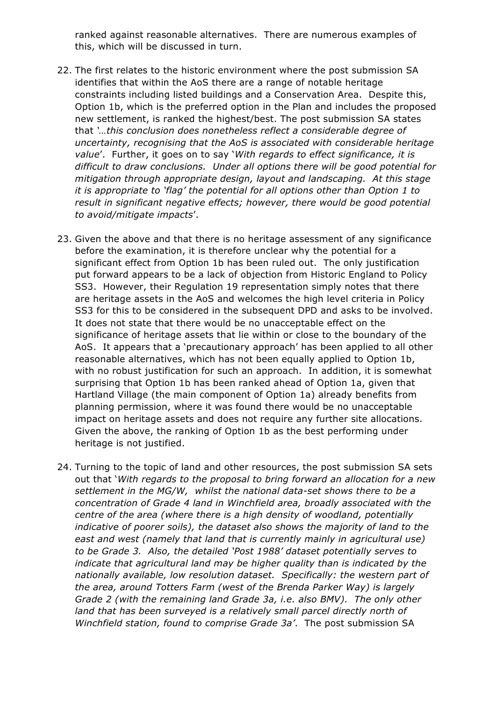ranked against reasonable alternatives. There are numerous examples of this, which will be discussed in turn.

- 22. The first relates to the historic environment where the post submission SA identifies that within the AoS there are a range of notable heritage constraints including listed buildings and a Conservation Area. Despite this, Option 1b, which is the preferred option in the Plan and includes the proposed new settlement, is ranked the highest/best. The post submission SA states that *'…this conclusion does nonetheless reflect a considerable degree of uncertainty, recognising that the AoS is associated with considerable heritage value*'. Further, it goes on to say '*With regards to effect significance, it is difficult to draw conclusions. Under all options there will be good potential for mitigation through appropriate design, layout and landscaping. At this stage it is appropriate to 'flag' the potential for all options other than Option 1 to result in significant negative effects; however, there would be good potential to avoid/mitigate impacts*'.
- 23. Given the above and that there is no heritage assessment of any significance before the examination, it is therefore unclear why the potential for a significant effect from Option 1b has been ruled out. The only justification put forward appears to be a lack of objection from Historic England to Policy SS3. However, their Regulation 19 representation simply notes that there are heritage assets in the AoS and welcomes the high level criteria in Policy SS3 for this to be considered in the subsequent DPD and asks to be involved. It does not state that there would be no unacceptable effect on the significance of heritage assets that lie within or close to the boundary of the AoS. It appears that a 'precautionary approach' has been applied to all other reasonable alternatives, which has not been equally applied to Option 1b, with no robust justification for such an approach. In addition, it is somewhat surprising that Option 1b has been ranked ahead of Option 1a, given that Hartland Village (the main component of Option 1a) already benefits from planning permission, where it was found there would be no unacceptable impact on heritage assets and does not require any further site allocations. Given the above, the ranking of Option 1b as the best performing under heritage is not justified.
- 24. Turning to the topic of land and other resources, the post submission SA sets out that '*With regards to the proposal to bring forward an allocation for a new settlement in the MG/W, whilst the national data-set shows there to be a concentration of Grade 4 land in Winchfield area, broadly associated with the centre of the area (where there is a high density of woodland, potentially indicative of poorer soils), the dataset also shows the majority of land to the east and west (namely that land that is currently mainly in agricultural use) to be Grade 3. Also, the detailed 'Post 1988' dataset potentially serves to indicate that agricultural land may be higher quality than is indicated by the nationally available, low resolution dataset. Specifically: the western part of the area, around Totters Farm (west of the Brenda Parker Way) is largely Grade 2 (with the remaining land Grade 3a, i.e. also BMV). The only other land that has been surveyed is a relatively small parcel directly north of Winchfield station, found to comprise Grade 3a'*. The post submission SA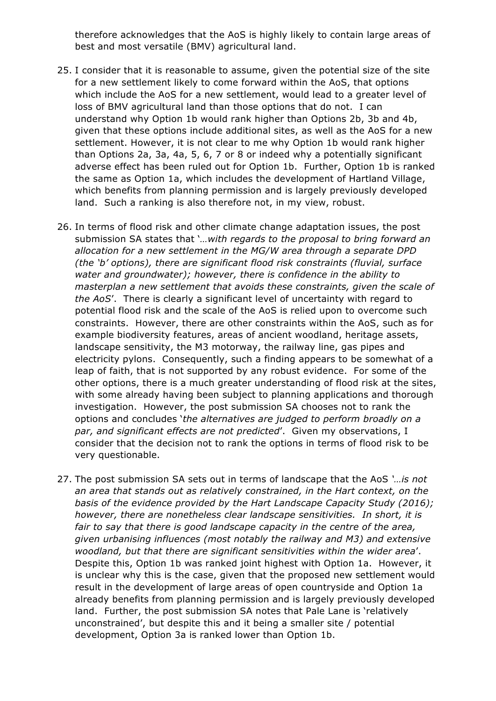therefore acknowledges that the AoS is highly likely to contain large areas of best and most versatile (BMV) agricultural land.

- 25. I consider that it is reasonable to assume, given the potential size of the site for a new settlement likely to come forward within the AoS, that options which include the AoS for a new settlement, would lead to a greater level of loss of BMV agricultural land than those options that do not. I can understand why Option 1b would rank higher than Options 2b, 3b and 4b, given that these options include additional sites, as well as the AoS for a new settlement. However, it is not clear to me why Option 1b would rank higher than Options 2a, 3a, 4a, 5, 6, 7 or 8 or indeed why a potentially significant adverse effect has been ruled out for Option 1b. Further, Option 1b is ranked the same as Option 1a, which includes the development of Hartland Village, which benefits from planning permission and is largely previously developed land. Such a ranking is also therefore not, in my view, robust.
- 26. In terms of flood risk and other climate change adaptation issues, the post submission SA states that '*…with regards to the proposal to bring forward an allocation for a new settlement in the MG/W area through a separate DPD (the 'b' options), there are significant flood risk constraints (fluvial, surface water and groundwater); however, there is confidence in the ability to masterplan a new settlement that avoids these constraints, given the scale of the AoS*'. There is clearly a significant level of uncertainty with regard to potential flood risk and the scale of the AoS is relied upon to overcome such constraints. However, there are other constraints within the AoS, such as for example biodiversity features, areas of ancient woodland, heritage assets, landscape sensitivity, the M3 motorway, the railway line, gas pipes and electricity pylons. Consequently, such a finding appears to be somewhat of a leap of faith, that is not supported by any robust evidence. For some of the other options, there is a much greater understanding of flood risk at the sites, with some already having been subject to planning applications and thorough investigation. However, the post submission SA chooses not to rank the options and concludes '*the alternatives are judged to perform broadly on a par, and significant effects are not predicted*'. Given my observations, I consider that the decision not to rank the options in terms of flood risk to be very questionable.
- 27. The post submission SA sets out in terms of landscape that the AoS *'…is not an area that stands out as relatively constrained, in the Hart context, on the basis of the evidence provided by the Hart Landscape Capacity Study (2016); however, there are nonetheless clear landscape sensitivities. In short, it is fair to say that there is good landscape capacity in the centre of the area, given urbanising influences (most notably the railway and M3) and extensive woodland, but that there are significant sensitivities within the wider area*'. Despite this, Option 1b was ranked joint highest with Option 1a. However, it is unclear why this is the case, given that the proposed new settlement would result in the development of large areas of open countryside and Option 1a already benefits from planning permission and is largely previously developed land. Further, the post submission SA notes that Pale Lane is 'relatively unconstrained', but despite this and it being a smaller site / potential development, Option 3a is ranked lower than Option 1b.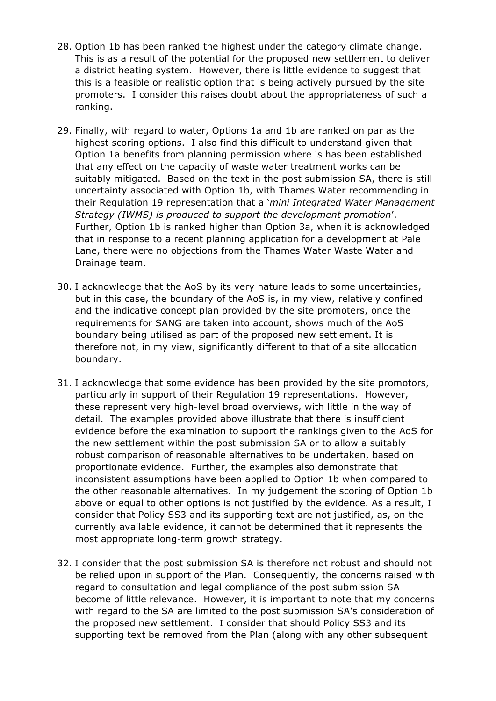- 28. Option 1b has been ranked the highest under the category climate change. This is as a result of the potential for the proposed new settlement to deliver a district heating system. However, there is little evidence to suggest that this is a feasible or realistic option that is being actively pursued by the site promoters. I consider this raises doubt about the appropriateness of such a ranking.
- 29. Finally, with regard to water, Options 1a and 1b are ranked on par as the highest scoring options. I also find this difficult to understand given that Option 1a benefits from planning permission where is has been established that any effect on the capacity of waste water treatment works can be suitably mitigated. Based on the text in the post submission SA, there is still uncertainty associated with Option 1b, with Thames Water recommending in their Regulation 19 representation that a '*mini Integrated Water Management Strategy (IWMS) is produced to support the development promotion*'. Further, Option 1b is ranked higher than Option 3a, when it is acknowledged that in response to a recent planning application for a development at Pale Lane, there were no objections from the Thames Water Waste Water and Drainage team.
- 30. I acknowledge that the AoS by its very nature leads to some uncertainties, but in this case, the boundary of the AoS is, in my view, relatively confined and the indicative concept plan provided by the site promoters, once the requirements for SANG are taken into account, shows much of the AoS boundary being utilised as part of the proposed new settlement. It is therefore not, in my view, significantly different to that of a site allocation boundary.
- 31. I acknowledge that some evidence has been provided by the site promotors, particularly in support of their Regulation 19 representations. However, these represent very high-level broad overviews, with little in the way of detail. The examples provided above illustrate that there is insufficient evidence before the examination to support the rankings given to the AoS for the new settlement within the post submission SA or to allow a suitably robust comparison of reasonable alternatives to be undertaken, based on proportionate evidence. Further, the examples also demonstrate that inconsistent assumptions have been applied to Option 1b when compared to the other reasonable alternatives. In my judgement the scoring of Option 1b above or equal to other options is not justified by the evidence. As a result, I consider that Policy SS3 and its supporting text are not justified, as, on the currently available evidence, it cannot be determined that it represents the most appropriate long-term growth strategy.
- 32. I consider that the post submission SA is therefore not robust and should not be relied upon in support of the Plan. Consequently, the concerns raised with regard to consultation and legal compliance of the post submission SA become of little relevance. However, it is important to note that my concerns with regard to the SA are limited to the post submission SA's consideration of the proposed new settlement. I consider that should Policy SS3 and its supporting text be removed from the Plan (along with any other subsequent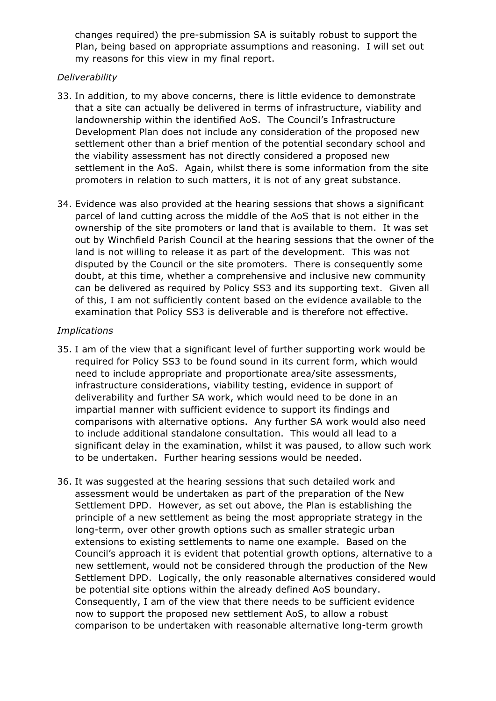changes required) the pre-submission SA is suitably robust to support the Plan, being based on appropriate assumptions and reasoning. I will set out my reasons for this view in my final report.

#### *Deliverability*

- 33. In addition, to my above concerns, there is little evidence to demonstrate that a site can actually be delivered in terms of infrastructure, viability and landownership within the identified AoS. The Council's Infrastructure Development Plan does not include any consideration of the proposed new settlement other than a brief mention of the potential secondary school and the viability assessment has not directly considered a proposed new settlement in the AoS. Again, whilst there is some information from the site promoters in relation to such matters, it is not of any great substance.
- 34. Evidence was also provided at the hearing sessions that shows a significant parcel of land cutting across the middle of the AoS that is not either in the ownership of the site promoters or land that is available to them. It was set out by Winchfield Parish Council at the hearing sessions that the owner of the land is not willing to release it as part of the development. This was not disputed by the Council or the site promoters. There is consequently some doubt, at this time, whether a comprehensive and inclusive new community can be delivered as required by Policy SS3 and its supporting text. Given all of this, I am not sufficiently content based on the evidence available to the examination that Policy SS3 is deliverable and is therefore not effective.

#### *Implications*

- 35. I am of the view that a significant level of further supporting work would be required for Policy SS3 to be found sound in its current form, which would need to include appropriate and proportionate area/site assessments, infrastructure considerations, viability testing, evidence in support of deliverability and further SA work, which would need to be done in an impartial manner with sufficient evidence to support its findings and comparisons with alternative options. Any further SA work would also need to include additional standalone consultation. This would all lead to a significant delay in the examination, whilst it was paused, to allow such work to be undertaken. Further hearing sessions would be needed.
- 36. It was suggested at the hearing sessions that such detailed work and assessment would be undertaken as part of the preparation of the New Settlement DPD. However, as set out above, the Plan is establishing the principle of a new settlement as being the most appropriate strategy in the long-term, over other growth options such as smaller strategic urban extensions to existing settlements to name one example. Based on the Council's approach it is evident that potential growth options, alternative to a new settlement, would not be considered through the production of the New Settlement DPD. Logically, the only reasonable alternatives considered would be potential site options within the already defined AoS boundary. Consequently, I am of the view that there needs to be sufficient evidence now to support the proposed new settlement AoS, to allow a robust comparison to be undertaken with reasonable alternative long-term growth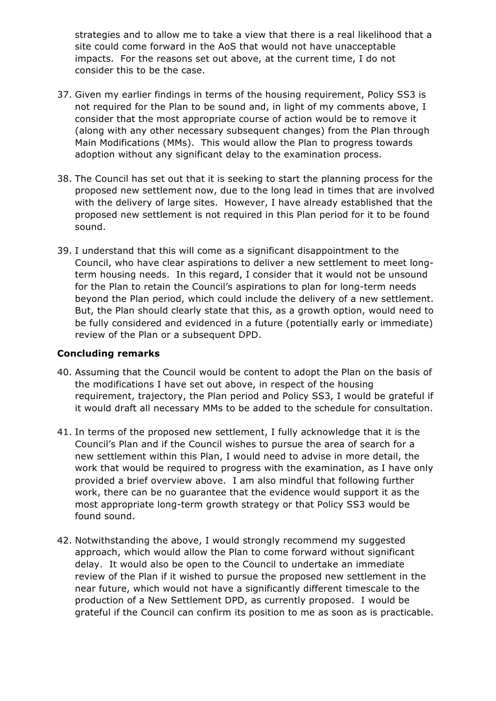strategies and to allow me to take a view that there is a real likelihood that a site could come forward in the AoS that would not have unacceptable impacts. For the reasons set out above, at the current time, I do not consider this to be the case.

- 37. Given my earlier findings in terms of the housing requirement, Policy SS3 is not required for the Plan to be sound and, in light of my comments above, I consider that the most appropriate course of action would be to remove it (along with any other necessary subsequent changes) from the Plan through Main Modifications (MMs). This would allow the Plan to progress towards adoption without any significant delay to the examination process.
- 38. The Council has set out that it is seeking to start the planning process for the proposed new settlement now, due to the long lead in times that are involved with the delivery of large sites. However, I have already established that the proposed new settlement is not required in this Plan period for it to be found sound.
- 39. I understand that this will come as a significant disappointment to the Council, who have clear aspirations to deliver a new settlement to meet longterm housing needs. In this regard, I consider that it would not be unsound for the Plan to retain the Council's aspirations to plan for long-term needs beyond the Plan period, which could include the delivery of a new settlement. But, the Plan should clearly state that this, as a growth option, would need to be fully considered and evidenced in a future (potentially early or immediate) review of the Plan or a subsequent DPD.

#### **Concluding remarks**

- 40. Assuming that the Council would be content to adopt the Plan on the basis of the modifications I have set out above, in respect of the housing requirement, trajectory, the Plan period and Policy SS3, I would be grateful if it would draft all necessary MMs to be added to the schedule for consultation.
- 41. In terms of the proposed new settlement, I fully acknowledge that it is the Council's Plan and if the Council wishes to pursue the area of search for a new settlement within this Plan, I would need to advise in more detail, the work that would be required to progress with the examination, as I have only provided a brief overview above. I am also mindful that following further work, there can be no guarantee that the evidence would support it as the most appropriate long-term growth strategy or that Policy SS3 would be found sound.
- 42. Notwithstanding the above, I would strongly recommend my suggested approach, which would allow the Plan to come forward without significant delay. It would also be open to the Council to undertake an immediate review of the Plan if it wished to pursue the proposed new settlement in the near future, which would not have a significantly different timescale to the production of a New Settlement DPD, as currently proposed. I would be grateful if the Council can confirm its position to me as soon as is practicable.